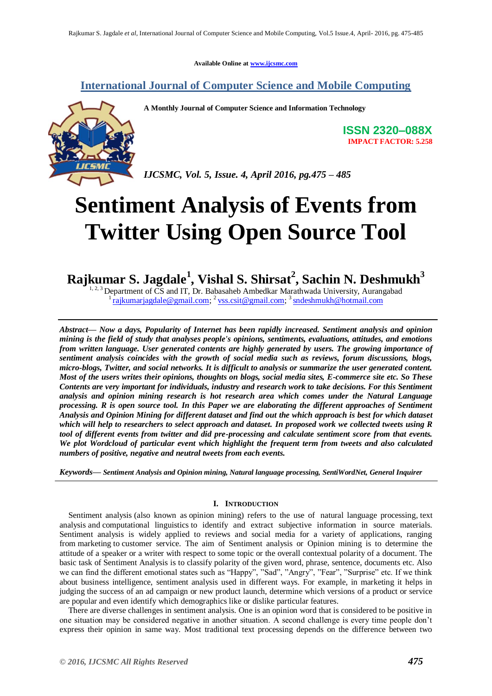**Available Online at [www.ijcsmc.com](http://www.ijcsmc.com/)**

**International Journal of Computer Science and Mobile Computing**



**A Monthly Journal of Computer Science and Information Technology**

**ISSN 2320–088X IMPACT FACTOR: 5.258**

*IJCSMC, Vol. 5, Issue. 4, April 2016, pg.475 – 485*

# **Sentiment Analysis of Events from Twitter Using Open Source Tool**

**Rajkumar S. Jagdale<sup>1</sup> , Vishal S. Shirsat<sup>2</sup> , Sachin N. Deshmukh<sup>3</sup>**

 $1, 2, 3$  Department of CS and IT, Dr. Babasaheb Ambedkar Marathwada University, Aurangabad <sup>1</sup> [rajkumarjagdale@gmail.com;](mailto:rajkumarjagdale@gmail.com) <sup>2</sup> [vss.csit@gmail.com;](mailto:vss.csit@gmail.com) <sup>3</sup> [sndeshmukh@hotmail.com](mailto:sndeshmukh@hotmail.com)

*Abstract— Now a days, Popularity of Internet has been rapidly increased. Sentiment analysis and opinion mining is the field of study that analyses people's opinions, sentiments, evaluations, attitudes, and emotions from written language. User generated contents are highly generated by users. The growing importance of sentiment analysis coincides with the growth of social media such as reviews, forum discussions, blogs, micro-blogs, Twitter, and social networks. It is difficult to analysis or summarize the user generated content. Most of the users writes their opinions, thoughts on blogs, social media sites, E-commerce site etc. So These Contents are very important for individuals, industry and research work to take decisions. For this Sentiment analysis and opinion mining research is hot research area which comes under the Natural Language processing. R is open source tool. In this Paper we are elaborating the different approaches of Sentiment Analysis and Opinion Mining for different dataset and find out the which approach is best for which dataset which will help to researchers to select approach and dataset. In proposed work we collected tweets using R tool of different events from twitter and did pre-processing and calculate sentiment score from that events. We plot Wordcloud of particular event which highlight the frequent term from tweets and also calculated numbers of positive, negative and neutral tweets from each events.*

*Keywords— Sentiment Analysis and Opinion mining, Natural language processing, SentiWordNet, General Inquirer*

## **I. INTRODUCTION**

Sentiment analysis (also known as opinion mining) refers to the use of [natural language processing,](https://en.wikipedia.org/wiki/Natural_language_processing) [text](https://en.wikipedia.org/wiki/Text_analytics)  [analysis](https://en.wikipedia.org/wiki/Text_analytics) and [computational linguistics](https://en.wikipedia.org/wiki/Computational_linguistics) to identify and extract subjective information in source materials. Sentiment analysis is widely applied to reviews and social media for a variety of applications, ranging from [marketing](https://en.wikipedia.org/wiki/Marketing) to [customer service.](https://en.wikipedia.org/wiki/Customer_relationship_management) The aim of Sentiment analysis or Opinion mining is to determine the attitude of a speaker or a writer with respect to some topic or the overall contextual polarity of a document. The basic task of Sentiment Analysis is to classify polarity of the given word, phrase, sentence, documents etc. Also we can find the different emotional states such as "Happy", "Sad", "Angry", "Fear", "Surprise" etc. If we think about business intelligence, sentiment analysis used in different ways. For example, in marketing it helps in judging the success of an ad campaign or new product launch, determine which versions of a product or service are popular and even identify which demographics like or dislike particular features.

There are diverse challenges in sentiment analysis. One is an opinion word that is considered to be positive in one situation may be considered negative in another situation. A second challenge is every time people don"t express their opinion in same way. Most traditional text processing depends on the difference between two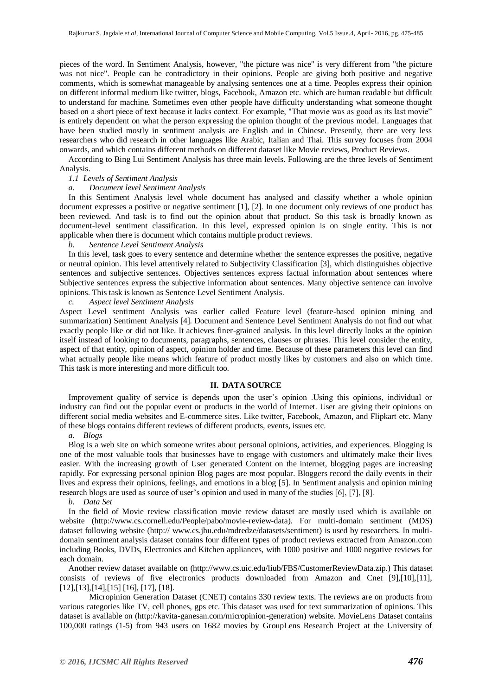pieces of the word. In Sentiment Analysis, however, "the picture was nice" is very different from "the picture was not nice". People can be contradictory in their opinions. People are giving both positive and negative comments, which is somewhat manageable by analysing sentences one at a time. Peoples express their opinion on different informal medium like twitter, blogs, Facebook, Amazon etc. which are human readable but difficult to understand for machine. Sometimes even other people have difficulty understanding what someone thought based on a short piece of text because it lacks context. For example, "That movie was as good as its last movie" is entirely dependent on what the person expressing the opinion thought of the previous model. Languages that have been studied mostly in sentiment analysis are English and in Chinese. Presently, there are very less researchers who did research in other languages like Arabic, Italian and Thai. This survey focuses from 2004 onwards, and which contains different methods on different dataset like Movie reviews, Product Reviews.

According to Bing Lui Sentiment Analysis has three main levels. Following are the three levels of Sentiment Analysis.

#### *1.1 Levels of Sentiment Analysis*

## *a. Document level Sentiment Analysis*

In this Sentiment Analysis level whole document has analysed and classify whether a whole opinion document expresses a positive or negative sentiment [1], [2]. In one document only reviews of one product has been reviewed. And task is to find out the opinion about that product. So this task is broadly known as document-level sentiment classification. In this level, expressed opinion is on single entity. This is not applicable when there is document which contains multiple product reviews.

#### *b. Sentence Level Sentiment Analysis*

In this level, task goes to every sentence and determine whether the sentence expresses the positive, negative or neutral opinion. This level attentively related to Subjectivity Classification [3], which distinguishes objective sentences and subjective sentences. Objectives sentences express factual information about sentences where Subjective sentences express the subjective information about sentences. Many objective sentence can involve opinions. This task is known as Sentence Level Sentiment Analysis.

## *c. Aspect level Sentiment Analysis*

Aspect Level sentiment Analysis was earlier called Feature level (feature-based opinion mining and summarization) Sentiment Analysis [4]. Document and Sentence Level Sentiment Analysis do not find out what exactly people like or did not like. It achieves finer-grained analysis. In this level directly looks at the opinion itself instead of looking to documents, paragraphs, sentences, clauses or phrases. This level consider the entity, aspect of that entity, opinion of aspect, opinion holder and time. Because of these parameters this level can find what actually people like means which feature of product mostly likes by customers and also on which time. This task is more interesting and more difficult too.

## **II. DATA SOURCE**

Improvement quality of service is depends upon the user"s opinion .Using this opinions, individual or industry can find out the popular event or products in the world of Internet. User are giving their opinions on different social media websites and E-commerce sites. Like twitter, Facebook, Amazon, and Flipkart etc. Many of these blogs contains different reviews of different products, events, issues etc.

#### *a. Blogs*

Blog is a web site on which someone writes about personal opinions, activities, and experiences. Blogging is one of the most valuable tools that businesses have to engage with customers and ultimately make their lives easier. With the increasing growth of User generated Content on the internet, blogging pages are increasing rapidly. For expressing personal opinion Blog pages are most popular. Bloggers record the daily events in their lives and express their opinions, feelings, and emotions in a blog [5]. In Sentiment analysis and opinion mining research blogs are used as source of user's opinion and used in many of the studies [6], [7], [8].

## *b. Data Set*

In the field of Movie review classification movie review dataset are mostly used which is available on website (http://www.cs.cornell.edu/People/pabo/movie-review-data). For multi-domain sentiment (MDS) dataset following website (http:// www.cs.jhu.edu/mdredze/datasets/sentiment) is used by researchers. In multidomain sentiment analysis dataset contains four different types of product reviews extracted from Amazon.com including Books, DVDs, Electronics and Kitchen appliances, with 1000 positive and 1000 negative reviews for each domain.

Another review dataset available on (http://www.cs.uic.edu/liub/FBS/CustomerReviewData.zip.) This dataset consists of reviews of five electronics products downloaded from Amazon and Cnet [9],[10],[11], [12],[13],[14],[15] [16], [17], [18].

Micropinion Generation Dataset (CNET) contains 330 review texts. The reviews are on products from various categories like TV, cell phones, gps etc. This dataset was used for text summarization of opinions. This dataset is available on (http://kavita-ganesan.com/micropinion-generation) website. MovieLens Dataset contains 100,000 ratings (1-5) from 943 users on 1682 movies by GroupLens Research Project at the University of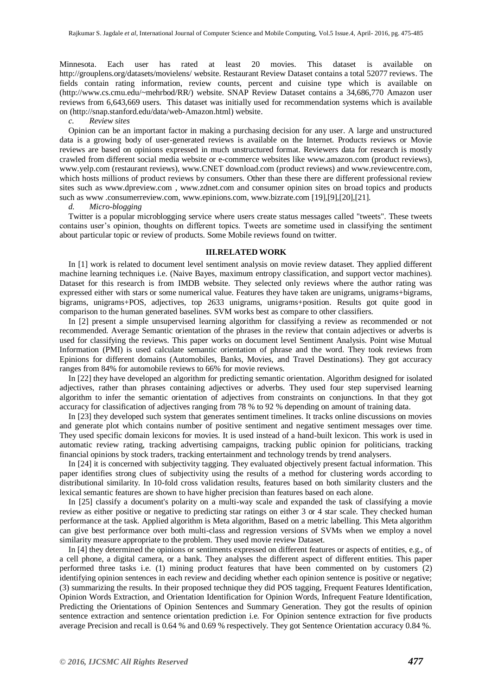Minnesota. Each user has rated at least 20 movies. This dataset is available on http://grouplens.org/datasets/movielens/ website. Restaurant Review Dataset contains a total 52077 reviews. The fields contain rating information, review counts, percent and cuisine type which is available on (http://www.cs.cmu.edu/~mehrbod/RR/) website. SNAP Review Dataset contains a 34,686,770 Amazon user reviews from 6,643,669 users. This dataset was initially used for recommendation systems which is available on (http://snap.stanford.edu/data/web-Amazon.html) website.

*c. Review sites*

Opinion can be an important factor in making a purchasing decision for any user. A large and unstructured data is a growing body of user-generated reviews is available on the Internet. Products reviews or Movie reviews are based on opinions expressed in much unstructured format. Reviewers data for research is mostly crawled from different social media website or e-commerce websites like www.amazon.com (product reviews), www.yelp.com (restaurant reviews), www.CNET download.com (product reviews) and www.reviewcentre.com, which hosts millions of product reviews by consumers. Other than these there are different professional review sites such as www.dpreview.com , www.zdnet.com and consumer opinion sites on broad topics and products such as www .consumerreview.com, www.epinions.com, www.bizrate.com [19],[9],[20],[21].

*d. Micro-blogging*

Twitter is a popular microblogging service where users create status messages called "tweets". These tweets contains user's opinion, thoughts on different topics. Tweets are sometime used in classifying the sentiment about particular topic or review of products. Some Mobile reviews found on twitter.

#### **III.RELATED WORK**

In [1] work is related to document level sentiment analysis on movie review dataset. They applied different machine learning techniques i.e. (Naive Bayes, maximum entropy classification, and support vector machines). Dataset for this research is from IMDB website. They selected only reviews where the author rating was expressed either with stars or some numerical value. Features they have taken are unigrams, unigrams+bigrams, bigrams, unigrams+POS, adjectives, top 2633 unigrams, unigrams+position. Results got quite good in comparison to the human generated baselines. SVM works best as compare to other classifiers.

In [2] present a simple unsupervised learning algorithm for classifying a review as recommended or not recommended. Average Semantic orientation of the phrases in the review that contain adjectives or adverbs is used for classifying the reviews. This paper works on document level Sentiment Analysis. Point wise Mutual Information (PMI) is used calculate semantic orientation of phrase and the word. They took reviews from Epinions for different domains (Automobiles, Banks, Movies, and Travel Destinations). They got accuracy ranges from 84% for automobile reviews to 66% for movie reviews.

In [22] they have developed an algorithm for predicting semantic orientation. Algorithm designed for isolated adjectives, rather than phrases containing adjectives or adverbs. They used four step supervised learning algorithm to infer the semantic orientation of adjectives from constraints on conjunctions. In that they got accuracy for classification of adjectives ranging from 78 % to 92 % depending on amount of training data.

In [23] they developed such system that generates sentiment timelines. It tracks online discussions on movies and generate plot which contains number of positive sentiment and negative sentiment messages over time. They used specific domain lexicons for movies. It is used instead of a hand-built lexicon. This work is used in automatic review rating, tracking advertising campaigns, tracking public opinion for politicians, tracking financial opinions by stock traders, tracking entertainment and technology trends by trend analysers.

In [24] it is concerned with subjectivity tagging. They evaluated objectively present factual information. This paper identifies strong clues of subjectivity using the results of a method for clustering words according to distributional similarity. In 10-fold cross validation results, features based on both similarity clusters and the lexical semantic features are shown to have higher precision than features based on each alone.

In [25] classify a document's polarity on a multi-way scale and expanded the task of classifying a movie review as either positive or negative to predicting star ratings on either 3 or 4 star scale. They checked human performance at the task. Applied algorithm is Meta algorithm, Based on a metric labelling. This Meta algorithm can give best performance over both multi-class and regression versions of SVMs when we employ a novel similarity measure appropriate to the problem. They used movie review Dataset.

In [4] they determined the opinions or sentiments expressed on different features or aspects of entities, e.g., of a cell phone, a digital camera, or a bank. They analyses the different aspect of different entities. This paper performed three tasks i.e. (1) mining product features that have been commented on by customers (2) identifying opinion sentences in each review and deciding whether each opinion sentence is positive or negative; (3) summarizing the results. In their proposed technique they did POS tagging, Frequent Features Identification, Opinion Words Extraction, and Orientation Identification for Opinion Words, Infrequent Feature Identification, Predicting the Orientations of Opinion Sentences and Summary Generation. They got the results of opinion sentence extraction and sentence orientation prediction i.e. For Opinion sentence extraction for five products average Precision and recall is 0.64 % and 0.69 % respectively. They got Sentence Orientation accuracy 0.84 %.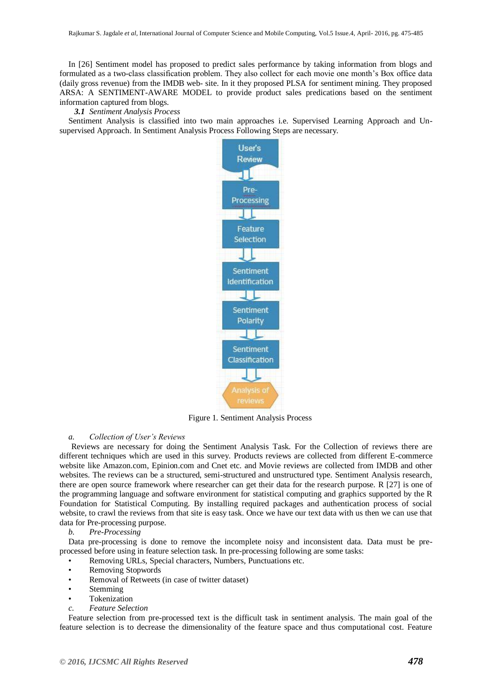In [26] Sentiment model has proposed to predict sales performance by taking information from blogs and formulated as a two-class classification problem. They also collect for each movie one month"s Box office data (daily gross revenue) from the IMDB web- site. In it they proposed PLSA for sentiment mining. They proposed ARSA: A SENTIMENT-AWARE MODEL to provide product sales predications based on the sentiment information captured from blogs.

*3.1 Sentiment Analysis Process*

Sentiment Analysis is classified into two main approaches i.e. Supervised Learning Approach and Unsupervised Approach. In Sentiment Analysis Process Following Steps are necessary.



Figure 1. Sentiment Analysis Process

## *a. Collection of User's Reviews*

Reviews are necessary for doing the Sentiment Analysis Task. For the Collection of reviews there are different techniques which are used in this survey. Products reviews are collected from different E-commerce website like Amazon.com, Epinion.com and Cnet etc. and Movie reviews are collected from IMDB and other websites. The reviews can be a structured, semi-structured and unstructured type. Sentiment Analysis research, there are open source framework where researcher can get their data for the research purpose. R [27] is one of the programming language and software environment for statistical computing and graphics supported by the R Foundation for Statistical Computing. By installing required packages and authentication process of social website, to crawl the reviews from that site is easy task. Once we have our text data with us then we can use that data for Pre-processing purpose.

#### *b. Pre-Processing*

Data pre-processing is done to remove the incomplete noisy and inconsistent data. Data must be preprocessed before using in feature selection task. In pre-processing following are some tasks:

- Removing URLs, Special characters, Numbers, Punctuations etc.
- Removing Stopwords
- Removal of Retweets (in case of twitter dataset)
- **Stemming**
- **Tokenization**
- *c. Feature Selection*

Feature selection from pre-processed text is the difficult task in sentiment analysis. The main goal of the feature selection is to decrease the dimensionality of the feature space and thus computational cost. Feature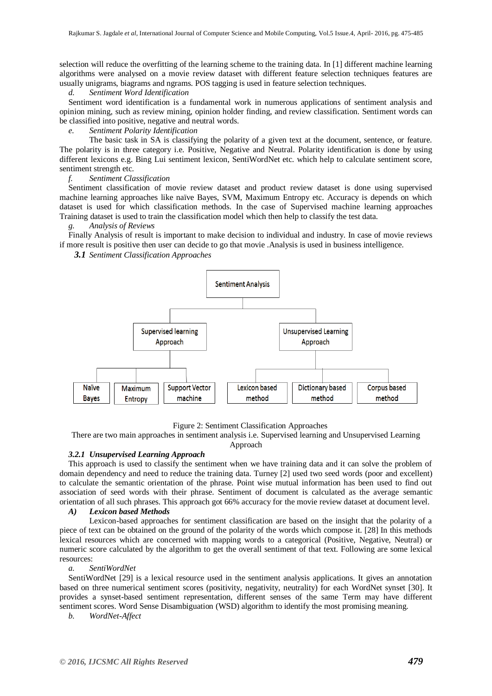selection will reduce the overfitting of the learning scheme to the training data. In [1] different machine learning algorithms were analysed on a movie review dataset with different feature selection techniques features are usually unigrams, biagrams and ngrams. POS tagging is used in feature selection techniques.

*d. Sentiment Word Identification*

Sentiment word identification is a fundamental work in numerous applications of sentiment analysis and opinion mining, such as review mining, opinion holder finding, and review classification. Sentiment words can be classified into positive, negative and neutral words.

*e. Sentiment Polarity Identification*

The basic task in SA is classifying the polarity of a given text at the document, sentence, or feature. The polarity is in three category i.e. Positive, Negative and Neutral. Polarity identification is done by using different lexicons e.g. Bing Lui sentiment lexicon, SentiWordNet etc. which help to calculate sentiment score, sentiment strength etc.

#### *f. Sentiment Classification*

Sentiment classification of movie review dataset and product review dataset is done using supervised machine learning approaches like naïve Bayes, SVM, Maximum Entropy etc. Accuracy is depends on which dataset is used for which classification methods. In the case of Supervised machine learning approaches Training dataset is used to train the classification model which then help to classify the test data.

*g. Analysis of Reviews*

Finally Analysis of result is important to make decision to individual and industry. In case of movie reviews if more result is positive then user can decide to go that movie .Analysis is used in business intelligence.

*3.1 Sentiment Classification Approaches*



Figure 2: Sentiment Classification Approaches

There are two main approaches in sentiment analysis i.e. Supervised learning and Unsupervised Learning

Approach

## *3.2.1 Unsupervised Learning Approach*

This approach is used to classify the sentiment when we have training data and it can solve the problem of domain dependency and need to reduce the training data. Turney [2] used two seed words (poor and excellent) to calculate the semantic orientation of the phrase. Point wise mutual information has been used to find out association of seed words with their phrase. Sentiment of document is calculated as the average semantic orientation of all such phrases. This approach got 66% accuracy for the movie review dataset at document level.

## *A) Lexicon based Methods*

Lexicon-based approaches for sentiment classification are based on the insight that the polarity of a piece of text can be obtained on the ground of the polarity of the words which compose it. [28] In this methods lexical resources which are concerned with mapping words to a categorical (Positive, Negative, Neutral) or numeric score calculated by the algorithm to get the overall sentiment of that text. Following are some lexical resources:

#### *a. SentiWordNet*

SentiWordNet [29] is a lexical resource used in the sentiment analysis applications. It gives an annotation based on three numerical sentiment scores (positivity, negativity, neutrality) for each WordNet synset [30]. It provides a synset-based sentiment representation, different senses of the same Term may have different sentiment scores. Word Sense Disambiguation (WSD) algorithm to identify the most promising meaning.

*b. WordNet-Affect*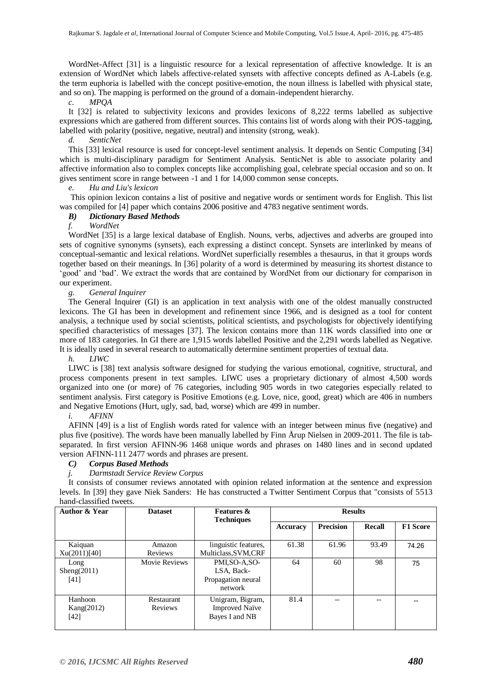WordNet-Affect [31] is a linguistic resource for a lexical representation of affective knowledge. It is an extension of WordNet which labels affective-related synsets with affective concepts defined as A-Labels (e.g. the term euphoria is labelled with the concept positive-emotion, the noun illness is labelled with physical state, and so on). The mapping is performed on the ground of a domain-independent hierarchy.

## *c. MPQA*

It [32] is related to subjectivity lexicons and provides lexicons of 8,222 terms labelled as subjective expressions which are gathered from different sources. This contains list of words along with their POS-tagging, labelled with polarity (positive, negative, neutral) and intensity (strong, weak).

*d. SenticNet*

This [33] lexical resource is used for concept-level sentiment analysis. It depends on Sentic Computing [34] which is multi-disciplinary paradigm for Sentiment Analysis. SenticNet is able to associate polarity and affective information also to complex concepts like accomplishing goal, celebrate special occasion and so on. It gives sentiment score in range between -1 and 1 for 14,000 common sense concepts.

## *e. Hu and Liu's lexicon*

This opinion lexicon contains a list of positive and negative words or sentiment words for English. This list was compiled for [4] paper which contains 2006 positive and 4783 negative sentiment words.

## *B) Dictionary Based Methods*

*f. WordNet*

WordNet [35] is a large lexical database of English. Nouns, verbs, adjectives and adverbs are grouped into sets of cognitive synonyms (synsets), each expressing a distinct concept. Synsets are interlinked by means of conceptual-semantic and lexical relations. WordNet superficially resembles a thesaurus, in that it groups words together based on their meanings. In [36] polarity of a word is determined by measuring its shortest distance to "good" and "bad". We extract the words that are contained by WordNet from our dictionary for comparison in our experiment.

## *g. General Inquirer*

The General Inquirer (GI) is an application in text analysis with one of the oldest manually constructed lexicons. The GI has been in development and refinement since 1966, and is designed as a tool for content analysis, a technique used by social scientists, political scientists, and psychologists for objectively identifying specified characteristics of messages [37]. The lexicon contains more than 11K words classified into one or more of 183 categories. In GI there are 1,915 words labelled Positive and the 2,291 words labelled as Negative. It is ideally used in several research to automatically determine sentiment properties of textual data.

*h. LIWC*

LIWC is [38] text analysis software designed for studying the various emotional, cognitive, structural, and process components present in text samples. LIWC uses a proprietary dictionary of almost 4,500 words organized into one (or more) of 76 categories, including 905 words in two categories especially related to sentiment analysis. First category is Positive Emotions (e.g. Love, nice, good, great) which are 406 in numbers and Negative Emotions (Hurt, ugly, sad, bad, worse) which are 499 in number.

## *i. AFINN*

AFINN [49] is a list of English words rated for valence with an integer between minus five (negative) and plus five (positive). The words have been manually labelled by Finn Årup Nielsen in 2009-2011. The file is tabseparated. In first version AFINN-96 1468 unique words and phrases on 1480 lines and in second updated version AFINN-111 2477 words and phrases are present.

## *C) Corpus Based Methods*

## *j. Darmstadt Service Review Corpus*

It consists of consumer reviews annotated with opinion related information at the sentence and expression levels. In [39] they gave Niek Sanders: He has constructed a Twitter Sentiment Corpus that "consists of 5513 hand-classified tweets.

| <b>Author &amp; Year</b>                 | <b>Dataset</b>               | <b>Features &amp;</b><br><b>Techniques</b>                    |                 | <b>Results</b>   |               |                 |
|------------------------------------------|------------------------------|---------------------------------------------------------------|-----------------|------------------|---------------|-----------------|
|                                          |                              |                                                               | <b>Accuracy</b> | <b>Precision</b> | <b>Recall</b> | <b>F1 Score</b> |
| Kaiquan<br>Xu(2011)[40]                  | Amazon<br>Reviews            | linguistic features,<br>Multiclass, SVM, CRF                  | 61.38           | 61.96            | 93.49         | 74.26           |
| Long<br>Sheng(2011)<br>[41]              | Movie Reviews                | PMI, SO-A, SO-<br>LSA, Back-<br>Propagation neural<br>network | 64              | 60               | 98            | 75              |
| Hanhoon<br>$\text{Kang}(2012)$<br>$[42]$ | Restaurant<br><b>Reviews</b> | Unigram, Bigram,<br><b>Improved Naïve</b><br>Bayes I and NB   | 81.4            | --               |               |                 |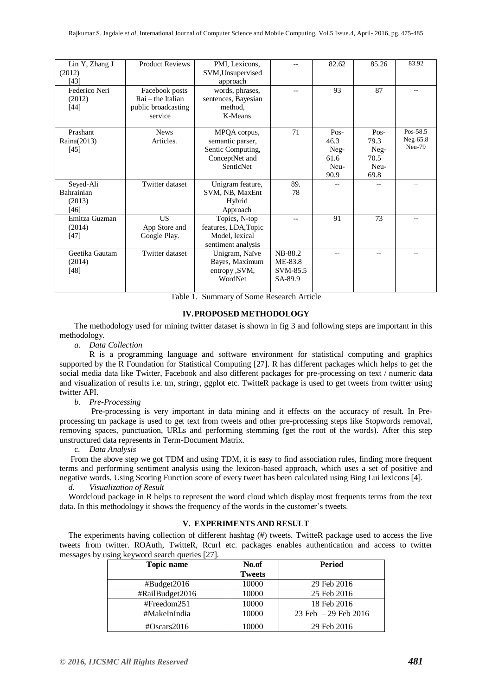| Lin Y, Zhang J | <b>Product Reviews</b> | PMI, Lexicons,       |          | 82.62 | 85.26 | 83.92      |
|----------------|------------------------|----------------------|----------|-------|-------|------------|
| (2012)         |                        | SVM, Unsupervised    |          |       |       |            |
| $[43]$         |                        | approach             |          |       |       |            |
| Federico Neri  | Facebook posts         | words, phrases,      |          | 93    | 87    |            |
| (2012)         | $Rain - the Italian$   | sentences, Bayesian  |          |       |       |            |
| $[44]$         | public broadcasting    | method,              |          |       |       |            |
|                | service                | K-Means              |          |       |       |            |
|                |                        |                      |          |       |       |            |
| Prashant       | <b>News</b>            | MPQA corpus,         | 71       | Pos-  | Pos-  | Pos-58.5   |
| Raina(2013)    | Articles.              | semantic parser,     |          | 46.3  | 79.3  | $Neg-65.8$ |
| [45]           |                        | Sentic Computing,    |          | Neg-  | Neg-  | Neu-79     |
|                |                        | ConceptNet and       |          | 61.6  | 70.5  |            |
|                |                        | <b>SenticNet</b>     |          | Neu-  | Neu-  |            |
|                |                        |                      |          | 90.9  | 69.8  |            |
| Seyed-Ali      | Twitter dataset        | Unigram feature,     | 89.      |       |       |            |
| Bahrainian     |                        | SVM, NB, MaxEnt      | 78       |       |       |            |
| (2013)         |                        | Hybrid               |          |       |       |            |
| $[46]$         |                        | Approach             |          |       |       |            |
| Emitza Guzman  | US.                    | Topics, N-top        |          | 91    | 73    |            |
| (2014)         | App Store and          | features, LDA, Topic |          |       |       |            |
| [47]           | Google Play.           | Model, lexical       |          |       |       |            |
|                |                        | sentiment analysis   |          |       |       |            |
| Geetika Gautam | Twitter dataset        | Unigram, Naïve       | NB-88.2  | --    |       |            |
| (2014)         |                        | Bayes, Maximum       | ME-83.8  |       |       |            |
| $[48]$         |                        | entropy , SVM,       | SVM-85.5 |       |       |            |
|                |                        | WordNet              | SA-89.9  |       |       |            |
|                |                        |                      |          |       |       |            |

Table 1. Summary of Some Research Article

## **IV.PROPOSED METHODOLOGY**

The methodology used for mining twitter dataset is shown in fig 3 and following steps are important in this methodology.

*a. Data Collection*

R is a programming language and software environment for statistical computing and graphics supported by the R Foundation for Statistical Computing [27]. R has different packages which helps to get the social media data like Twitter, Facebook and also different packages for pre-processing on text / numeric data and visualization of results i.e. tm, stringr, ggplot etc. TwitteR package is used to get tweets from twitter using twitter API.

## *b. Pre-Processing*

Pre-processing is very important in data mining and it effects on the accuracy of result. In Preprocessing tm package is used to get text from tweets and other pre-processing steps like Stopwords removal, removing spaces, punctuation, URLs and performing stemming (get the root of the words). After this step unstructured data represents in Term-Document Matrix.

## c. *Data Analysis*

From the above step we got TDM and using TDM, it is easy to find association rules, finding more frequent terms and performing sentiment analysis using the lexicon-based approach, which uses a set of positive and negative words. Using Scoring Function score of every tweet has been calculated using Bing Lui lexicons [4].

*d. Visualization of Result*

Wordcloud package in R helps to represent the word cloud which display most frequents terms from the text data. In this methodology it shows the frequency of the words in the customer's tweets.

## **V. EXPERIMENTS AND RESULT**

The experiments having collection of different hashtag (#) tweets. TwitteR package used to access the live tweets from twitter. ROAuth, TwitteR, Rcurl etc. packages enables authentication and access to twitter messages by using keyword search queries [27].

| Topic name            | No.of         | Period                |
|-----------------------|---------------|-----------------------|
|                       | <b>Tweets</b> |                       |
| #Budget2016           | 10000         | 29 Feb 2016           |
| #RailBudget2016       | 10000         | 25 Feb 2016           |
| #Freedom251           | 10000         | 18 Feb 2016           |
| #MakeInIndia          | 10000         | 23 Feb $-29$ Feb 2016 |
| $\text{\#Oscars}2016$ | 10000         | 29 Feb 2016           |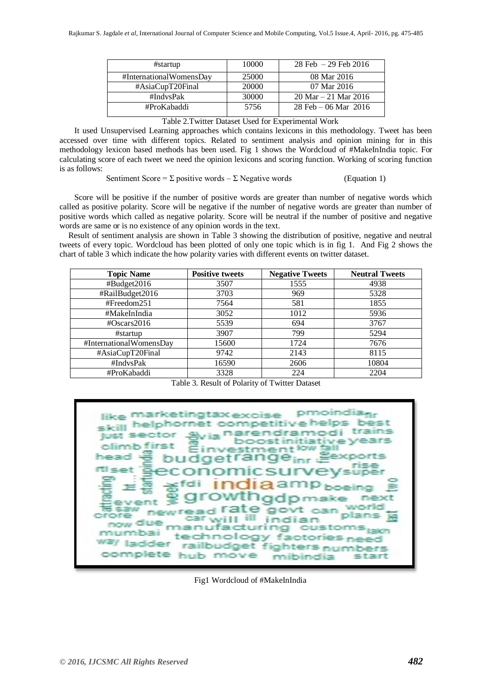| #startup                | 10000 | $28$ Feb $-29$ Feb $2016$  |
|-------------------------|-------|----------------------------|
| #InternationalWomensDay | 25000 | 08 Mar 2016                |
| #AsiaCupT20Final        | 20000 | 07 Mar 2016                |
| #IndysPak               | 30000 | $20$ Mar $-21$ Mar $2016$  |
| #ProKabaddi             | 5756  | $28$ Feb $-$ 06 Mar $2016$ |

Table 2.Twitter Dataset Used for Experimental Work

It used Unsupervised Learning approaches which contains lexicons in this methodology. Tweet has been accessed over time with different topics. Related to sentiment analysis and opinion mining for in this methodology lexicon based methods has been used. Fig 1 shows the Wordcloud of #MakeInIndia topic. For calculating score of each tweet we need the opinion lexicons and scoring function. Working of scoring function is as follows:

Sentiment Score =  $\Sigma$  positive words –  $\Sigma$  Negative words (Equation 1)

Score will be positive if the number of positive words are greater than number of negative words which called as positive polarity. Score will be negative if the number of negative words are greater than number of positive words which called as negative polarity. Score will be neutral if the number of positive and negative words are same or is no existence of any opinion words in the text.

Result of sentiment analysis are shown in Table 3 showing the distribution of positive, negative and neutral tweets of every topic. Wordcloud has been plotted of only one topic which is in fig 1. And Fig 2 shows the chart of table 3 which indicate the how polarity varies with different events on twitter dataset.

| <b>Topic Name</b>       | <b>Positive tweets</b> | <b>Negative Tweets</b> | <b>Neutral Tweets</b> |  |
|-------------------------|------------------------|------------------------|-----------------------|--|
| #Budget2016             | 3507                   | 1555                   | 4938                  |  |
| #RailBudget2016         | 3703                   | 969                    | 5328                  |  |
| #Freedom251             | 7564                   | 581                    | 1855                  |  |
| #MakeInIndia            | 3052                   | 1012                   | 5936                  |  |
| $\text{\#Oscars}2016$   | 5539                   | 694                    | 3767                  |  |
| #startup                | 3907                   | 799                    | 5294                  |  |
| #InternationalWomensDay | 15600                  | 1724                   | 7676                  |  |
| #AsiaCupT20Final        | 9742                   | 2143                   | 8115                  |  |
| #IndvsPak               | 16590                  | 2606                   | 10804                 |  |
| #ProKabaddi             | 3328                   | 224                    | 2204                  |  |

Table 3. Result of Polarity of Twitter Dataset



Fig1 Wordcloud of #MakeInIndia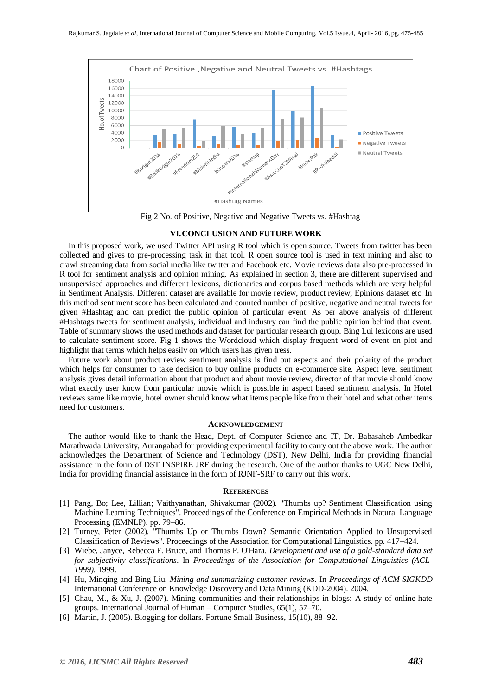

Fig 2 No. of Positive, Negative and Negative Tweets vs. #Hashtag

#### **VI.CONCLUSION AND FUTURE WORK**

In this proposed work, we used Twitter API using R tool which is open source. Tweets from twitter has been collected and gives to pre-processing task in that tool. R open source tool is used in text mining and also to crawl streaming data from social media like twitter and Facebook etc. Movie reviews data also pre-processed in R tool for sentiment analysis and opinion mining. As explained in section 3, there are different supervised and unsupervised approaches and different lexicons, dictionaries and corpus based methods which are very helpful in Sentiment Analysis. Different dataset are available for movie review, product review, Epinions dataset etc. In this method sentiment score has been calculated and counted number of positive, negative and neutral tweets for given #Hashtag and can predict the public opinion of particular event. As per above analysis of different #Hashtags tweets for sentiment analysis, individual and industry can find the public opinion behind that event. Table of summary shows the used methods and dataset for particular research group. Bing Lui lexicons are used to calculate sentiment score. Fig 1 shows the Wordcloud which display frequent word of event on plot and highlight that terms which helps easily on which users has given tress.

Future work about product review sentiment analysis is find out aspects and their polarity of the product which helps for consumer to take decision to buy online products on e-commerce site. Aspect level sentiment analysis gives detail information about that product and about movie review, director of that movie should know what exactly user know from particular movie which is possible in aspect based sentiment analysis. In Hotel reviews same like movie, hotel owner should know what items people like from their hotel and what other items need for customers.

#### **ACKNOWLEDGEMENT**

The author would like to thank the Head, Dept. of Computer Science and IT, Dr. Babasaheb Ambedkar Marathwada University, Aurangabad for providing experimental facility to carry out the above work. The author acknowledges the Department of Science and Technology (DST), New Delhi, India for providing financial assistance in the form of DST INSPIRE JRF during the research. One of the author thanks to UGC New Delhi, India for providing financial assistance in the form of RJNF-SRF to carry out this work.

#### **REFERENCES**

- [1] Pang, Bo; Lee, Lillian; Vaithyanathan, Shivakumar (2002). "Thumbs up? Sentiment Classification using Machine Learning Techniques". Proceedings of the Conference on Empirical Methods in Natural Language Processing (EMNLP). pp. 79–86.
- [2] Turney, Peter (2002). "Thumbs Up or Thumbs Down? Semantic Orientation Applied to Unsupervised Classification of Reviews". Proceedings of the Association for Computational Linguistics. pp. 417–424.
- [3] Wiebe, Janyce, Rebecca F. Bruce, and Thomas P. O'Hara. *Development and use of a gold-standard data set for subjectivity classifications*. In *Proceedings of the Association for Computational Linguistics (ACL-1999)*. 1999.
- [4] Hu, Minqing and Bing Liu. *Mining and summarizing customer reviews*. In *Proceedings of ACM SIGKDD*  International Conference on Knowledge Discovery and Data Mining (KDD-2004). 2004.
- [5] Chau, M., & Xu, J. (2007). Mining communities and their relationships in blogs: A study of online hate groups. International Journal of Human – Computer Studies, 65(1), 57–70.
- [6] Martin, J. (2005). Blogging for dollars. Fortune Small Business, 15(10), 88–92.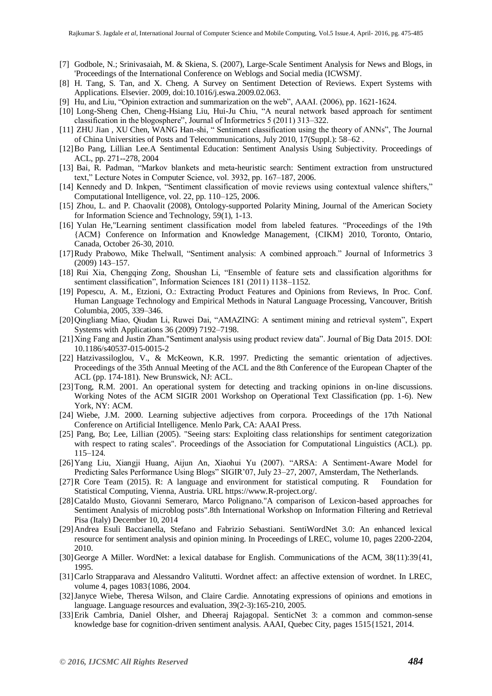- [7] Godbole, N.; Srinivasaiah, M. & Skiena, S. (2007), Large-Scale Sentiment Analysis for News and Blogs, in 'Proceedings of the International Conference on Weblogs and Social media (ICWSM)'.
- [8] H. Tang, S. Tan, and X. Cheng. A Survey on Sentiment Detection of Reviews. Expert Systems with Applications. Elsevier. 2009, doi:10.1016/j.eswa.2009.02.063.
- [9] Hu, and Liu, "Opinion extraction and summarization on the web", AAAI. (2006), pp. 1621-1624.
- [10] Long-Sheng Chen, Cheng-Hsiang Liu, Hui-Ju Chiu, "A neural network based approach for sentiment classification in the blogosphere", Journal of Informetrics 5 (2011) 313–322.
- [11] ZHU Jian , XU Chen, WANG Han-shi, " Sentiment classification using the theory of ANNs", The Journal of China Universities of Posts and Telecommunications, July 2010, 17(Suppl.): 58–62 .
- [12]Bo Pang, Lillian Lee.A Sentimental Education: Sentiment Analysis Using Subjectivity. Proceedings of ACL, pp. 271--278, 2004
- [13] Bai, R. Padman, "Markov blankets and meta-heuristic search: Sentiment extraction from unstructured text," Lecture Notes in Computer Science, vol. 3932, pp. 167–187, 2006.
- [14] Kennedy and D. Inkpen, "Sentiment classification of movie reviews using contextual valence shifters," Computational Intelligence, vol. 22, pp. 110–125, 2006.
- [15] Zhou, L. and P. Chaovalit (2008), Ontology-supported Polarity Mining, Journal of the American Society for Information Science and Technology, 59(1), 1-13.
- [16] Yulan He,"Learning sentiment classification model from labeled features. "Proceedings of the 19th {ACM} Conference on Information and Knowledge Management, {CIKM} 2010, Toronto, Ontario, Canada, October 26-30, 2010.
- [17]Rudy Prabowo, Mike Thelwall, "Sentiment analysis: A combined approach." Journal of Informetrics 3 (2009) 143–157.
- [18] Rui Xia, Chengqing Zong, Shoushan Li, "Ensemble of feature sets and classification algorithms for sentiment classification", Information Sciences 181 (2011) 1138–1152.
- [19] Popescu, A. M., Etzioni, O.: Extracting Product Features and Opinions from Reviews, In Proc. Conf. Human Language Technology and Empirical Methods in Natural Language Processing, Vancouver, British Columbia, 2005, 339–346.
- [20] Qingliang Miao, Qiudan Li, Ruwei Dai, "AMAZING: A sentiment mining and retrieval system", Expert Systems with Applications 36 (2009) 7192–7198.
- [21]Xing Fang and Justin Zhan."Sentiment analysis using product review data". Journal of Big Data 2015. DOI: 10.1186/s40537-015-0015-2
- [22] Hatzivassiloglou, V., & McKeown, K.R. 1997. Predicting the semantic orientation of adjectives. Proceedings of the 35th Annual Meeting of the ACL and the 8th Conference of the European Chapter of the ACL (pp. 174-181). New Brunswick, NJ: ACL.
- [23]Tong, R.M. 2001. An operational system for detecting and tracking opinions in on-line discussions. Working Notes of the ACM SIGIR 2001 Workshop on Operational Text Classification (pp. 1-6). New York, NY: ACM.
- [24] Wiebe, J.M. 2000. Learning subjective adjectives from corpora. Proceedings of the 17th National Conference on Artificial Intelligence. Menlo Park, CA: AAAI Press.
- [25] Pang, Bo; Lee, Lillian (2005). "Seeing stars: Exploiting class relationships for sentiment categorization with respect to rating scales". Proceedings of the Association for Computational Linguistics (ACL). pp. 115–124.
- [26]Yang Liu, Xiangji Huang, Aijun An, Xiaohui Yu (2007). "ARSA: A Sentiment-Aware Model for Predicting Sales Performance Using Blogs" SIGIR"07, July 23–27, 2007, Amsterdam, The Netherlands.
- [27]R Core Team (2015). R: A language and environment for statistical computing. R Foundation for Statistical Computing, Vienna, Austria. URL https://www.R-project.org/.
- [28]Cataldo Musto, Giovanni Semeraro, Marco Polignano."A comparison of Lexicon-based approaches for Sentiment Analysis of microblog posts".8th International Workshop on Information Filtering and Retrieval Pisa (Italy) December 10, 2014
- [29]Andrea Esuli Baccianella, Stefano and Fabrizio Sebastiani. SentiWordNet 3.0: An enhanced lexical resource for sentiment analysis and opinion mining. In Proceedings of LREC, volume 10, pages 2200-2204, 2010.
- [30] George A Miller. WordNet: a lexical database for English. Communications of the ACM, 38(11):39{41, 1995.
- [31]Carlo Strapparava and Alessandro Valitutti. Wordnet affect: an affective extension of wordnet. In LREC, volume 4, pages 1083{1086, 2004.
- [32]Janyce Wiebe, Theresa Wilson, and Claire Cardie. Annotating expressions of opinions and emotions in language. Language resources and evaluation, 39(2-3):165-210, 2005.
- [33]Erik Cambria, Daniel Olsher, and Dheeraj Rajagopal. SenticNet 3: a common and common-sense knowledge base for cognition-driven sentiment analysis. AAAI, Quebec City, pages 1515{1521, 2014.